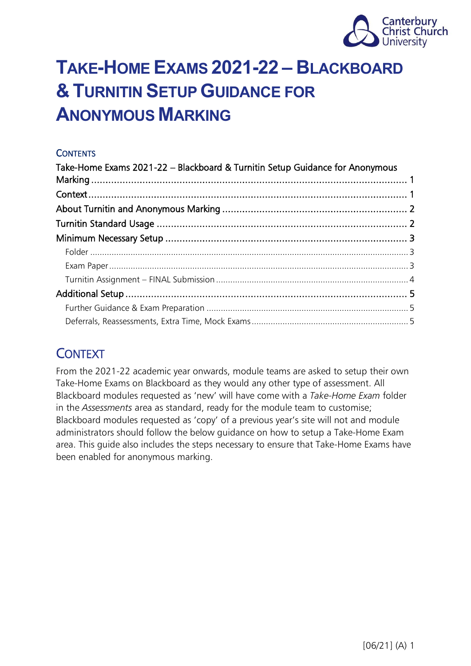

# <span id="page-0-0"></span>**TAKE-HOME EXAMS 2021-22 – BLACKBOARD & TURNITIN SETUP GUIDANCE FOR ANONYMOUS MARKING**

### **CONTENTS**

| Take-Home Exams 2021-22 - Blackboard & Turnitin Setup Guidance for Anonymous |  |  |  |  |
|------------------------------------------------------------------------------|--|--|--|--|
|                                                                              |  |  |  |  |
|                                                                              |  |  |  |  |
|                                                                              |  |  |  |  |
|                                                                              |  |  |  |  |
|                                                                              |  |  |  |  |
|                                                                              |  |  |  |  |
|                                                                              |  |  |  |  |
|                                                                              |  |  |  |  |
|                                                                              |  |  |  |  |
|                                                                              |  |  |  |  |

## <span id="page-0-1"></span>**CONTEXT**

From the 2021-22 academic year onwards, module teams are asked to setup their own Take-Home Exams on Blackboard as they would any other type of assessment. All Blackboard modules requested as 'new' will have come with a *Take-Home Exam* folder in the *Assessments* area as standard, ready for the module team to customise; Blackboard modules requested as 'copy' of a previous year's site will not and module administrators should follow the below guidance on how to setup a Take-Home Exam area. This guide also includes the steps necessary to ensure that Take-Home Exams have been enabled for anonymous marking.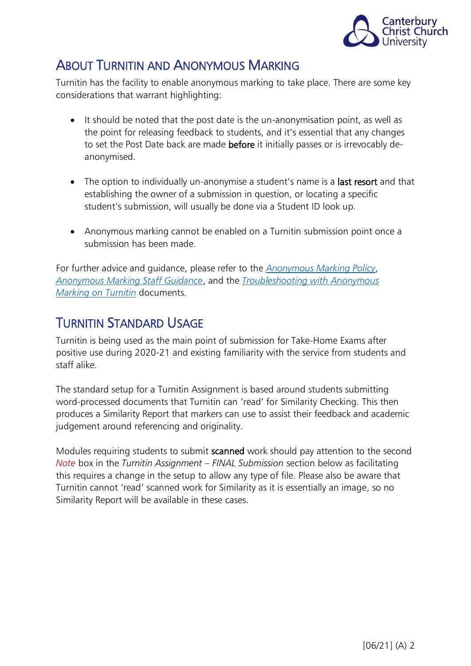

## <span id="page-1-0"></span>ABOUT TURNITIN AND ANONYMOUS MARKING

Turnitin has the facility to enable anonymous marking to take place. There are some key considerations that warrant highlighting:

- It should be noted that the post date is the un-anonymisation point, as well as the point for releasing feedback to students, and it's essential that any changes to set the Post Date back are made before it initially passes or is irrevocably deanonymised.
- The option to individually un-anonymise a student's name is a last resort and that establishing the owner of a submission in question, or locating a specific student's submission, will usually be done via a Student ID look up.
- Anonymous marking cannot be enabled on a Turnitin submission point once a submission has been made.

For further advice and guidance, please refer to the *[Anonymous Marking Policy](https://www.canterbury.ac.uk/learning-and-teaching-enhancement/docs/Anon-Marking/Anonymous-Marking-Policy-AB-approved-June-2021.pdf)*, *[Anonymous Marking Staff Guidance](https://www.canterbury.ac.uk/learning-and-teaching-enhancement/docs/Anon-Marking/Academic-Staff-Guidance-for-Anonymous-Marking.pdf)*, and the *[Troubleshooting with Anonymous](https://www.canterbury.ac.uk/learning-and-teaching-enhancement/docs/Anon-Marking/Troubleshooting-with-Anonymous-Marking-on-Turnitin-new.pdf)  [Marking on](https://www.canterbury.ac.uk/learning-and-teaching-enhancement/docs/Anon-Marking/Troubleshooting-with-Anonymous-Marking-on-Turnitin-new.pdf) Turnitin* documents.

## <span id="page-1-1"></span>TURNITIN STANDARD USAGE

Turnitin is being used as the main point of submission for Take-Home Exams after positive use during 2020-21 and existing familiarity with the service from students and staff alike.

The standard setup for a Turnitin Assignment is based around students submitting word-processed documents that Turnitin can 'read' for Similarity Checking. This then produces a Similarity Report that markers can use to assist their feedback and academic judgement around referencing and originality.

Modules requiring students to submit scanned work should pay attention to the second *Note* box in the *Turnitin Assignment – FINAL Submission* section below as facilitating this requires a change in the setup to allow any type of file. Please also be aware that Turnitin cannot 'read' scanned work for Similarity as it is essentially an image, so no Similarity Report will be available in these cases.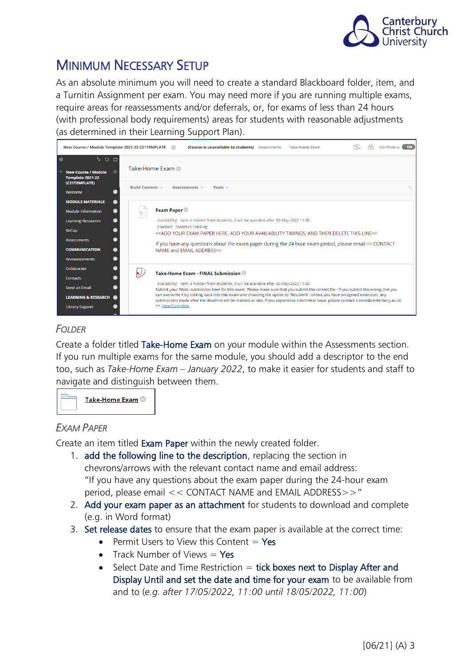

## <span id="page-2-0"></span>MINIMUM NECESSARY SETUP

As an absolute minimum you will need to create a standard Blackboard folder, item, and a Turnitin Assignment per exam. You may need more if you are running multiple exams, require areas for reassessments and/or deferrals, or, for exams of less than 24 hours (with professional body requirements) areas for students with reasonable adjustments (as determined in their Learning Support Plan).

| New Course / Module Template 2021-22 C21TEMPLATE                       |                                                                                                        | $\sim$            |                                                                                           |              |  | (Course is unavailable to students) Assessments                                                                                 | Take-Home Exam                                                                                                                                                                                                                                                               |  | r 1 |  | Edit Mode is: <b>DON</b> |    |
|------------------------------------------------------------------------|--------------------------------------------------------------------------------------------------------|-------------------|-------------------------------------------------------------------------------------------|--------------|--|---------------------------------------------------------------------------------------------------------------------------------|------------------------------------------------------------------------------------------------------------------------------------------------------------------------------------------------------------------------------------------------------------------------------|--|-----|--|--------------------------|----|
| $\bigoplus$<br>t o m<br><b>New Course / Module</b><br>Template 2021-22 | Take-Home Exam                                                                                         |                   |                                                                                           |              |  |                                                                                                                                 |                                                                                                                                                                                                                                                                              |  |     |  |                          |    |
| (C21TEMPLATE)<br>Welcome                                               | Build Content v                                                                                        |                   | Assessments $\vee$                                                                        | Tools $\vee$ |  |                                                                                                                                 |                                                                                                                                                                                                                                                                              |  |     |  |                          | 个. |
| <b>MODULE MATERIALS</b>                                                |                                                                                                        |                   |                                                                                           |              |  |                                                                                                                                 |                                                                                                                                                                                                                                                                              |  |     |  |                          |    |
| <b>Module Information</b>                                              |                                                                                                        | <b>Exam Paper</b> |                                                                                           |              |  |                                                                                                                                 |                                                                                                                                                                                                                                                                              |  |     |  |                          |    |
| <b>Learning Resources</b>                                              | Availability: Item is hidden from students. It will be available after 30-May-2022 11:00.              |                   |                                                                                           |              |  |                                                                                                                                 |                                                                                                                                                                                                                                                                              |  |     |  |                          |    |
| ReCap                                                                  |                                                                                                        |                   | Enabled: Statistics Tracking                                                              |              |  | < <add add="" and="" availability="" delete="" exam="" here,="" line="" paper="" then="" this="" timings,="" your="">&gt;</add> |                                                                                                                                                                                                                                                                              |  |     |  |                          |    |
| <b>Assessments</b>                                                     | If you have any questions about the exam paper during the 24 hour exam period, please email << CONTACT |                   |                                                                                           |              |  |                                                                                                                                 |                                                                                                                                                                                                                                                                              |  |     |  |                          |    |
| <b>COMMUNICATION</b>                                                   |                                                                                                        |                   | NAME and EMAIL ADDRESS>>                                                                  |              |  |                                                                                                                                 |                                                                                                                                                                                                                                                                              |  |     |  |                          |    |
| <b>Announcements</b>                                                   |                                                                                                        |                   |                                                                                           |              |  |                                                                                                                                 |                                                                                                                                                                                                                                                                              |  |     |  |                          |    |
| Collaborate                                                            |                                                                                                        |                   | Take-Home Exam - FINAL Submission                                                         |              |  |                                                                                                                                 |                                                                                                                                                                                                                                                                              |  |     |  |                          |    |
| Contacts                                                               |                                                                                                        |                   |                                                                                           |              |  |                                                                                                                                 |                                                                                                                                                                                                                                                                              |  |     |  |                          |    |
| Send an Email                                                          |                                                                                                        |                   | Availability: Item is hidden from students. It will be available after 30-May-2022 11:00. |              |  |                                                                                                                                 | Submit your FINAL submission here for this exam. Please make sure that you submit the correct file - if you submit the wrong one you                                                                                                                                         |  |     |  |                          |    |
| <b>LEARNING &amp; RESEARCH</b>                                         |                                                                                                        |                   |                                                                                           |              |  |                                                                                                                                 | can overwrite it by clicking back into this exam and choosing the option to 'Resubmit'. Unless you have an agreed extension, any<br>submissions made after the deadline will be marked as late. If you experience a technical issue, please contact: i-zone@canterbury.ac.uk |  |     |  |                          |    |
| <b>Library Support</b>                                                 |                                                                                                        | >> View/Complete  |                                                                                           |              |  |                                                                                                                                 |                                                                                                                                                                                                                                                                              |  |     |  |                          |    |

## <span id="page-2-1"></span>*FOLDER*

Create a folder titled Take-Home Exam on your module within the Assessments section. If you run multiple exams for the same module, you should add a descriptor to the end too, such as *Take-Home Exam – January 2022*, to make it easier for students and staff to navigate and distinguish between them.



### <span id="page-2-2"></span> $E$ *XAM PAPER*

Create an item titled Exam Paper within the newly created folder.

- 1. add the following line to the description, replacing the section in chevrons/arrows with the relevant contact name and email address: "If you have any questions about the exam paper during the 24-hour exam period, please email << CONTACT NAME and EMAIL ADDRESS>>"
- 2. Add your exam paper as an attachment for students to download and complete (e.g. in Word format)
- 3. Set release dates to ensure that the exam paper is available at the correct time:
	- Permit Users to View this Content  $=$  Yes
	- Track Number of Views  $=$  Yes
	- Select Date and Time Restriction  $=$  tick boxes next to Display After and Display Until and set the date and time for your exam to be available from and to (*e.g. after 17/05/2022, 11:00 until 18/05/2022, 11:00*)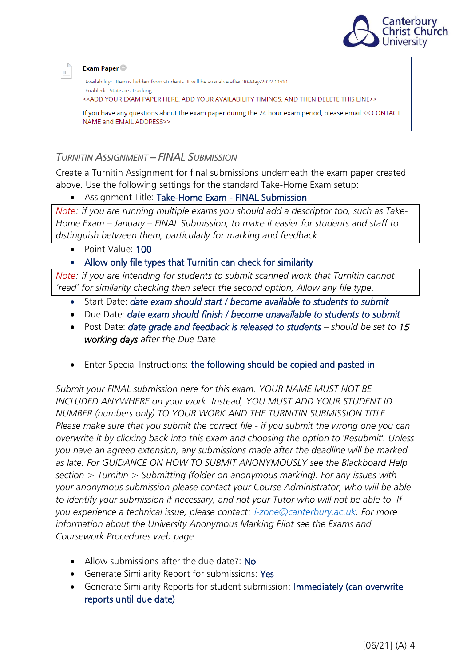

#### **Exam Paper**

Œ

Availability: Item is hidden from students. It will be available after 30-May-2022 11:00. **Enabled: Statistics Tracking** <<ADD YOUR EXAM PAPER HERE, ADD YOUR AVAILABILITY TIMINGS, AND THEN DELETE THIS LINE>> If you have any questions about the exam paper during the 24 hour exam period, please email << CONTACT NAME and EMAIL ADDRESS>>

### <span id="page-3-0"></span>*TURNITIN ASSIGNMENT – FINAL SUBMISSION*

Create a Turnitin Assignment for final submissions underneath the exam paper created above. Use the following settings for the standard Take-Home Exam setup:

#### • Assignment Title: Take-Home Exam - FINAL Submission

*Note: if you are running multiple exams you should add a descriptor too, such as Take-Home Exam – January – FINAL Submission, to make it easier for students and staff to distinguish between them, particularly for marking and feedback.*

• Point Value: 100

### • Allow only file types that Turnitin can check for similarity

*Note: if you are intending for students to submit scanned work that Turnitin cannot 'read' for similarity checking then select the second option, Allow any file type.*

- Start Date: *date exam should start / become available to students to submit*
- Due Date: *date exam should finish / become unavailable to students to submit*
- Post Date: *date grade and feedback is released to students – should be set to 15 working days after the Due Date*
- Enter Special Instructions: the following should be copied and pasted in  $-$

*Submit your FINAL submission here for this exam. YOUR NAME MUST NOT BE INCLUDED ANYWHERE on your work. Instead, YOU MUST ADD YOUR STUDENT ID NUMBER (numbers only) TO YOUR WORK AND THE TURNITIN SUBMISSION TITLE. Please make sure that you submit the correct file - if you submit the wrong one you can overwrite it by clicking back into this exam and choosing the option to 'Resubmit'. Unless you have an agreed extension, any submissions made after the deadline will be marked as late. For GUIDANCE ON HOW TO SUBMIT ANONYMOUSLY see the Blackboard Help section > Turnitin > Submitting (folder on anonymous marking). For any issues with your anonymous submission please contact your Course Administrator, who will be able to identify your submission if necessary, and not your Tutor who will not be able to. If you experience a technical issue, please contact: [i-zone@canterbury.ac.uk.](mailto:i-zone@canterbury.ac.uk) For more information about the University Anonymous Marking Pilot see the Exams and Coursework Procedures web page.*

- Allow submissions after the due date?: No
- Generate Similarity Report for submissions: Yes
- Generate Similarity Reports for student submission: Immediately (can overwrite reports until due date)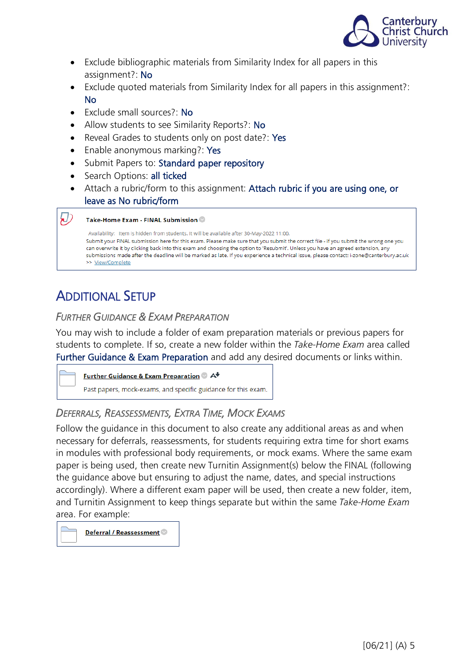

- Exclude bibliographic materials from Similarity Index for all papers in this assignment?: No
- Exclude quoted materials from Similarity Index for all papers in this assignment?: No
- Exclude small sources?: No
- Allow students to see Similarity Reports?: No
- Reveal Grades to students only on post date?: Yes
- Enable anonymous marking?: Yes
- Submit Papers to: Standard paper repository
- Search Options: all ticked
- Attach a rubric/form to this assignment: Attach rubric if you are using one, or leave as No rubric/form

#### $\mathcal{D}$ Take-Home Exam - FINAL Submission

Availability: Item is hidden from students. It will be available after 30-May-2022 11:00. Submit your FINAL submission here for this exam. Please make sure that you submit the correct file - if you submit the wrong one you can overwrite it by clicking back into this exam and choosing the option to 'Resubmit'. Unless you have an agreed extension, any submissions made after the deadline will be marked as late. If you experience a technical issue, please contact: i-zone@canterbury.ac.uk >> View/Complete

## <span id="page-4-0"></span>ADDITIONAL SETUP

### <span id="page-4-1"></span>*FURTHER GUIDANCE & EXAM PREPARATION*

You may wish to include a folder of exam preparation materials or previous papers for students to complete. If so, create a new folder within the *Take-Home Exam* area called Further Guidance & Exam Preparation and add any desired documents or links within.

|  | Further Guidance & Exam Preparation A                         |  |  |  |  |  |  |
|--|---------------------------------------------------------------|--|--|--|--|--|--|
|  | Past papers, mock-exams, and specific guidance for this exam. |  |  |  |  |  |  |

## <span id="page-4-2"></span>*DEFERRALS, REASSESSMENTS, EXTRA TIME, MOCK EXAMS*

Follow the guidance in this document to also create any additional areas as and when necessary for deferrals, reassessments, for students requiring extra time for short exams in modules with professional body requirements, or mock exams. Where the same exam paper is being used, then create new Turnitin Assignment(s) below the FINAL (following the guidance above but ensuring to adjust the name, dates, and special instructions accordingly). Where a different exam paper will be used, then create a new folder, item, and Turnitin Assignment to keep things separate but within the same *Take-Home Exam* area. For example:

Deferral / Reassessment